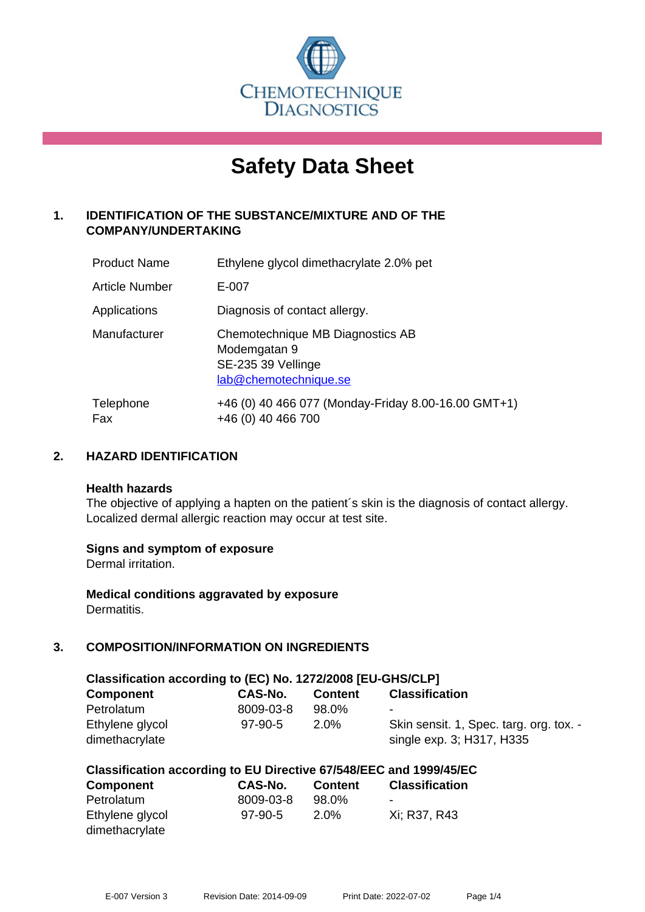

# **Safety Data Sheet**

# **1. IDENTIFICATION OF THE SUBSTANCE/MIXTURE AND OF THE COMPANY/UNDERTAKING**

| <b>Product Name</b> | Ethylene glycol dimethacrylate 2.0% pet                                                         |
|---------------------|-------------------------------------------------------------------------------------------------|
| Article Number      | E-007                                                                                           |
| Applications        | Diagnosis of contact allergy.                                                                   |
| Manufacturer        | Chemotechnique MB Diagnostics AB<br>Modemgatan 9<br>SE-235 39 Vellinge<br>lab@chemotechnique.se |
| Telephone<br>Fax    | +46 (0) 40 466 077 (Monday-Friday 8.00-16.00 GMT+1)<br>+46 (0) 40 466 700                       |

## **2. HAZARD IDENTIFICATION**

#### **Health hazards**

The objective of applying a hapten on the patient's skin is the diagnosis of contact allergy. Localized dermal allergic reaction may occur at test site.

## **Signs and symptom of exposure**

Dermal irritation.

**Medical conditions aggravated by exposure** Dermatitis.

# **3. COMPOSITION/INFORMATION ON INGREDIENTS**

| Classification according to (EC) No. 1272/2008 [EU-GHS/CLP] |                |                |                                                                      |
|-------------------------------------------------------------|----------------|----------------|----------------------------------------------------------------------|
| <b>Component</b>                                            | <b>CAS-No.</b> | <b>Content</b> | <b>Classification</b>                                                |
| Petrolatum                                                  | 8009-03-8      | 98.0%          | ۰                                                                    |
| Ethylene glycol<br>dimethacrylate                           | 97-90-5        | 2.0%           | Skin sensit. 1, Spec. targ. org. tox. -<br>single exp. 3; H317, H335 |

|  | Classification according to EU Directive 67/548/EEC and 1999/45/EC |  |  |  |  |
|--|--------------------------------------------------------------------|--|--|--|--|
|--|--------------------------------------------------------------------|--|--|--|--|

| <b>Component</b> | CAS-No.   | <b>Content</b> | <b>Classification</b> |
|------------------|-----------|----------------|-----------------------|
| Petrolatum       | 8009-03-8 | 98.0%          | $\blacksquare$        |
| Ethylene glycol  | $97-90-5$ | $2.0\%$        | Xi: R37, R43          |
| dimethacrylate   |           |                |                       |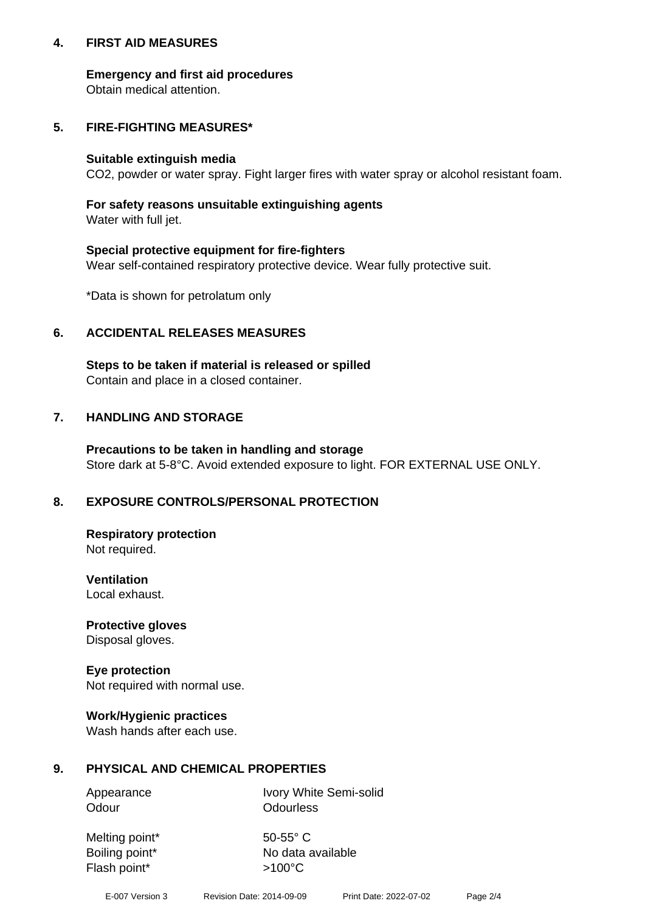## **4. FIRST AID MEASURES**

## **Emergency and first aid procedures**

Obtain medical attention.

## **5. FIRE-FIGHTING MEASURES\***

#### **Suitable extinguish media**

CO2, powder or water spray. Fight larger fires with water spray or alcohol resistant foam.

# **For safety reasons unsuitable extinguishing agents**

Water with full jet.

## **Special protective equipment for fire-fighters**

Wear self-contained respiratory protective device. Wear fully protective suit.

\*Data is shown for petrolatum only

## **6. ACCIDENTAL RELEASES MEASURES**

**Steps to be taken if material is released or spilled** Contain and place in a closed container.

# **7. HANDLING AND STORAGE**

**Precautions to be taken in handling and storage** Store dark at 5-8°C. Avoid extended exposure to light. FOR EXTERNAL USE ONLY.

# **8. EXPOSURE CONTROLS/PERSONAL PROTECTION**

**Respiratory protection** Not required.

**Ventilation** Local exhaust.

**Protective gloves** Disposal gloves.

#### **Eye protection** Not required with normal use.

## **Work/Hygienic practices**

Wash hands after each use.

## **9. PHYSICAL AND CHEMICAL PROPERTIES**

Odour **Odourless** 

Appearance Ivory White Semi-solid

Melting point\* 50-55° C Flash point\*  $>100^{\circ}$ C

Boiling point\* No data available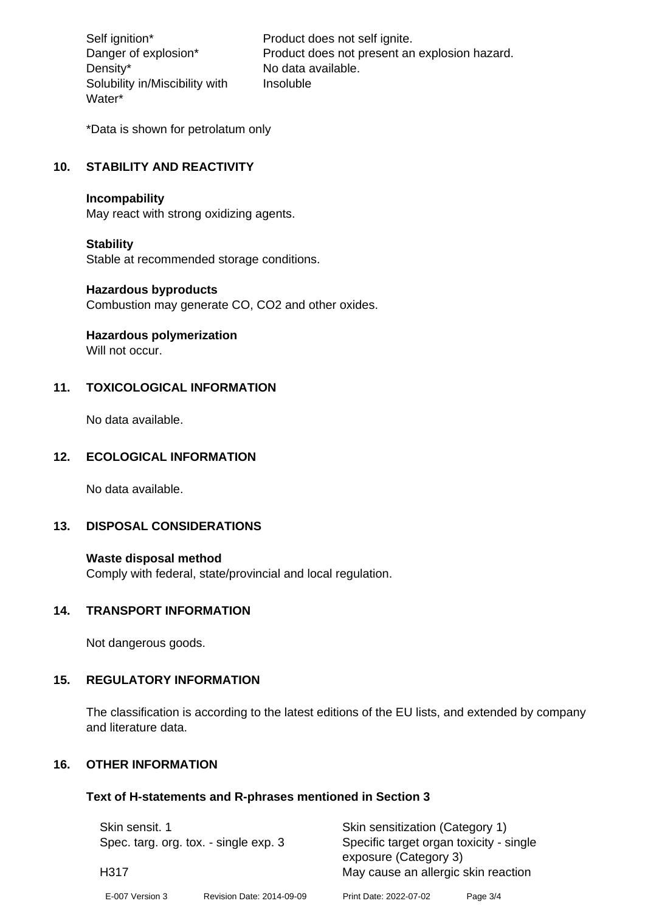Density\* No data available. Solubility in/Miscibility with Water\*

Self ignition\* Product does not self ignite. Danger of explosion\* Product does not present an explosion hazard. Insoluble

\*Data is shown for petrolatum only

# **10. STABILITY AND REACTIVITY**

#### **Incompability**

May react with strong oxidizing agents.

#### **Stability**

Stable at recommended storage conditions.

## **Hazardous byproducts**

Combustion may generate CO, CO2 and other oxides.

**Hazardous polymerization**

Will not occur.

## **11. TOXICOLOGICAL INFORMATION**

No data available.

#### **12. ECOLOGICAL INFORMATION**

No data available.

## **13. DISPOSAL CONSIDERATIONS**

#### **Waste disposal method**

Comply with federal, state/provincial and local regulation.

#### **14. TRANSPORT INFORMATION**

Not dangerous goods.

## **15. REGULATORY INFORMATION**

The classification is according to the latest editions of the EU lists, and extended by company and literature data.

#### **16. OTHER INFORMATION**

#### **Text of H-statements and R-phrases mentioned in Section 3**

| Skin sensit. 1<br>Spec. targ. org. tox. - single exp. 3<br>H317 |                           | Skin sensitization (Category 1)<br>Specific target organ toxicity - single |          |
|-----------------------------------------------------------------|---------------------------|----------------------------------------------------------------------------|----------|
|                                                                 |                           | exposure (Category 3)<br>May cause an allergic skin reaction               |          |
| E-007 Version 3                                                 | Revision Date: 2014-09-09 | Print Date: 2022-07-02                                                     | Page 3/4 |